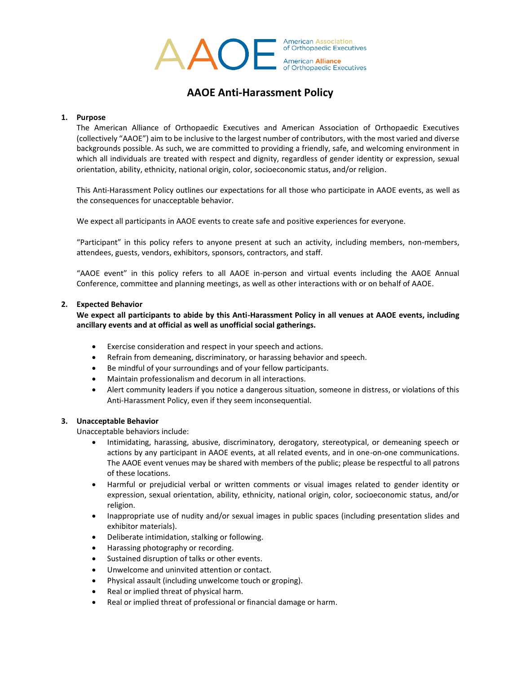

# **AAOE Anti-Harassment Policy**

#### **1. Purpose**

The American Alliance of Orthopaedic Executives and American Association of Orthopaedic Executives (collectively "AAOE") aim to be inclusive to the largest number of contributors, with the most varied and diverse backgrounds possible. As such, we are committed to providing a friendly, safe, and welcoming environment in which all individuals are treated with respect and dignity, regardless of gender identity or expression, sexual orientation, ability, ethnicity, national origin, color, socioeconomic status, and/or religion.

This Anti-Harassment Policy outlines our expectations for all those who participate in AAOE events, as well as the consequences for unacceptable behavior.

We expect all participants in AAOE events to create safe and positive experiences for everyone.

"Participant" in this policy refers to anyone present at such an activity, including members, non-members, attendees, guests, vendors, exhibitors, sponsors, contractors, and staff.

"AAOE event" in this policy refers to all AAOE in-person and virtual events including the AAOE Annual Conference, committee and planning meetings, as well as other interactions with or on behalf of AAOE.

### **2. Expected Behavior**

**We expect all participants to abide by this Anti-Harassment Policy in all venues at AAOE events, including ancillary events and at official as well as unofficial social gatherings.**

- Exercise consideration and respect in your speech and actions.
- Refrain from demeaning, discriminatory, or harassing behavior and speech.
- Be mindful of your surroundings and of your fellow participants.
- Maintain professionalism and decorum in all interactions.
- Alert community leaders if you notice a dangerous situation, someone in distress, or violations of this Anti-Harassment Policy, even if they seem inconsequential.

#### **3. Unacceptable Behavior**

Unacceptable behaviors include:

- Intimidating, harassing, abusive, discriminatory, derogatory, stereotypical, or demeaning speech or actions by any participant in AAOE events, at all related events, and in one-on-one communications. The AAOE event venues may be shared with members of the public; please be respectful to all patrons of these locations.
- Harmful or prejudicial verbal or written comments or visual images related to gender identity or expression, sexual orientation, ability, ethnicity, national origin, color, socioeconomic status, and/or religion.
- Inappropriate use of nudity and/or sexual images in public spaces (including presentation slides and exhibitor materials).
- Deliberate intimidation, stalking or following.
- Harassing photography or recording.
- Sustained disruption of talks or other events.
- Unwelcome and uninvited attention or contact.
- Physical assault (including unwelcome touch or groping).
- Real or implied threat of physical harm.
- Real or implied threat of professional or financial damage or harm.